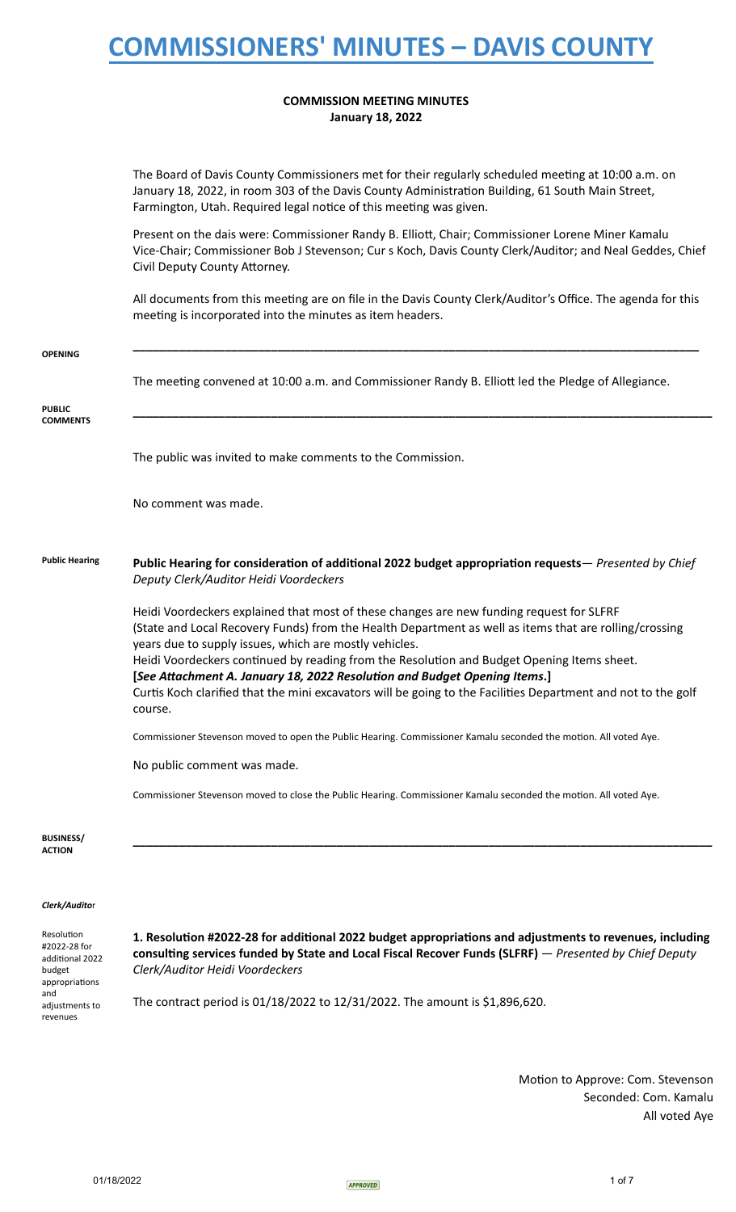### **COMMISSION MEETING MINUTES January 18, 2022**

|                                                                           | The Board of Davis County Commissioners met for their regularly scheduled meeting at 10:00 a.m. on<br>January 18, 2022, in room 303 of the Davis County Administration Building, 61 South Main Street,<br>Farmington, Utah. Required legal notice of this meeting was given.                                                                                                                                                                                                                                                                                        |
|---------------------------------------------------------------------------|---------------------------------------------------------------------------------------------------------------------------------------------------------------------------------------------------------------------------------------------------------------------------------------------------------------------------------------------------------------------------------------------------------------------------------------------------------------------------------------------------------------------------------------------------------------------|
|                                                                           | Present on the dais were: Commissioner Randy B. Elliott, Chair; Commissioner Lorene Miner Kamalu<br>Vice-Chair; Commissioner Bob J Stevenson; Cur s Koch, Davis County Clerk/Auditor; and Neal Geddes, Chief<br>Civil Deputy County Attorney.                                                                                                                                                                                                                                                                                                                       |
|                                                                           | All documents from this meeting are on file in the Davis County Clerk/Auditor's Office. The agenda for this<br>meeting is incorporated into the minutes as item headers.                                                                                                                                                                                                                                                                                                                                                                                            |
| <b>OPENING</b>                                                            |                                                                                                                                                                                                                                                                                                                                                                                                                                                                                                                                                                     |
|                                                                           | The meeting convened at 10:00 a.m. and Commissioner Randy B. Elliott led the Pledge of Allegiance.                                                                                                                                                                                                                                                                                                                                                                                                                                                                  |
| <b>PUBLIC</b><br><b>COMMENTS</b>                                          |                                                                                                                                                                                                                                                                                                                                                                                                                                                                                                                                                                     |
|                                                                           | The public was invited to make comments to the Commission.                                                                                                                                                                                                                                                                                                                                                                                                                                                                                                          |
|                                                                           | No comment was made.                                                                                                                                                                                                                                                                                                                                                                                                                                                                                                                                                |
| <b>Public Hearing</b>                                                     | Public Hearing for consideration of additional 2022 budget appropriation requests— Presented by Chief<br>Deputy Clerk/Auditor Heidi Voordeckers                                                                                                                                                                                                                                                                                                                                                                                                                     |
|                                                                           | Heidi Voordeckers explained that most of these changes are new funding request for SLFRF<br>(State and Local Recovery Funds) from the Health Department as well as items that are rolling/crossing<br>years due to supply issues, which are mostly vehicles.<br>Heidi Voordeckers continued by reading from the Resolution and Budget Opening Items sheet.<br>[See Attachment A. January 18, 2022 Resolution and Budget Opening Items.]<br>Curtis Koch clarified that the mini excavators will be going to the Facilities Department and not to the golf<br>course. |
|                                                                           | Commissioner Stevenson moved to open the Public Hearing. Commissioner Kamalu seconded the motion. All voted Aye.                                                                                                                                                                                                                                                                                                                                                                                                                                                    |
|                                                                           | No public comment was made.                                                                                                                                                                                                                                                                                                                                                                                                                                                                                                                                         |
|                                                                           | Commissioner Stevenson moved to close the Public Hearing. Commissioner Kamalu seconded the motion. All voted Aye.                                                                                                                                                                                                                                                                                                                                                                                                                                                   |
| <b>BUSINESS/</b><br><b>ACTION</b>                                         |                                                                                                                                                                                                                                                                                                                                                                                                                                                                                                                                                                     |
| Clerk/Auditor                                                             |                                                                                                                                                                                                                                                                                                                                                                                                                                                                                                                                                                     |
| Resolution<br>#2022-28 for<br>additional 2022<br>budget<br>appropriations | 1. Resolution #2022-28 for additional 2022 budget appropriations and adjustments to revenues, including<br>consulting services funded by State and Local Fiscal Recover Funds (SLFRF) - Presented by Chief Deputy<br>Clerk/Auditor Heidi Voordeckers                                                                                                                                                                                                                                                                                                                |

The contract period is 01/18/2022 to 12/31/2022. The amount is \$1,896,620.

Motion to Approve: Com. Stevenson Seconded: Com. Kamalu All voted Aye

and

 adjustments to revenues

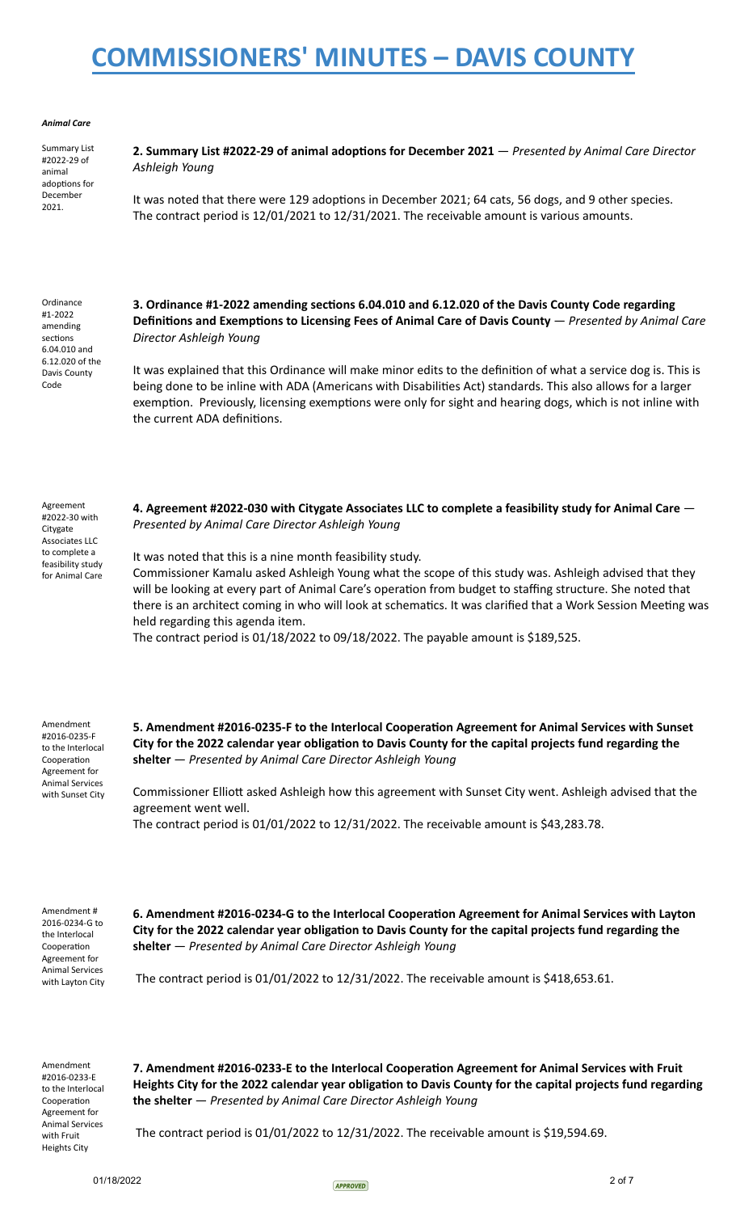#### *Animal Care*

 Summary List #2022-29 of animal adoptions for December 2021.

**2. Summary List #2022-29 of animal adoptions for December 2021** — *Presented by Animal Care Director Ashleigh Young*

It was noted that there were 129 adoptions in December 2021; 64 cats, 56 dogs, and 9 other species. The contract period is 12/01/2021 to 12/31/2021. The receivable amount is various amounts.

 Ordinance #1-2022 amending sections 6.04.010 and 6.12.020 of the Davis County Code

 Agreement #2022-30 with Citygate Associates LLC to complete a feasibility study for Animal Care

### 3. Ordinance #1-2022 amending sections 6.04.010 and 6.12.020 of the Davis County Code regarding **Definitions and Exemptions to Licensing Fees of Animal Care of Davis County** — *Presented by Animal Care Director Ashleigh Young*

It was explained that this Ordinance will make minor edits to the definition of what a service dog is. This is being done to be inline with ADA (Americans with Disabilities Act) standards. This also allows for a larger exemption. Previously, licensing exemptions were only for sight and hearing dogs, which is not inline with the current ADA definitions.

 **4. Agreement #2022-030 with Citygate Associates LLC to complete a feasibility study for Animal Care** —  *Presented by Animal Care Director Ashleigh Young*

It was noted that this is a nine month feasibility study.

 Commissioner Kamalu asked Ashleigh Young what the scope of this study was. Ashleigh advised that they will be looking at every part of Animal Care's operation from budget to staffing structure. She noted that there is an architect coming in who will look at schematics. It was clarified that a Work Session Meeting was held regarding this agenda item.

The contract period is 01/18/2022 to 09/18/2022. The payable amount is \$189,525.

 Amendment #2016-0235-F to the Interlocal Cooperation Agreement for Animal Services with Sunset City 5. Amendment #2016-0235-F to the Interlocal Cooperation Agreement for Animal Services with Sunset City for the 2022 calendar year obligation to Davis County for the capital projects fund regarding the  **shelter** — *Presented by Animal Care Director Ashleigh Young*

Commissioner Elliott asked Ashleigh how this agreement with Sunset City went. Ashleigh advised that the agreement went well.

The contract period is 01/01/2022 to 12/31/2022. The receivable amount is \$43,283.78.

 Amendment # 2016-0234-G to the Interlocal Cooperation Agreement for Animal Services with Layton City

6. Amendment #2016-0234-G to the Interlocal Cooperation Agreement for Animal Services with Layton City for the 2022 calendar year obligation to Davis County for the capital projects fund regarding the  **shelter** — *Presented by Animal Care Director Ashleigh Young*

The contract period is 01/01/2022 to 12/31/2022. The receivable amount is \$418,653.61.

 Amendment #2016-0233-E to the Interlocal Cooperation Agreement for Animal Services with Fruit Heights City

7. Amendment #2016-0233-E to the Interlocal Cooperation Agreement for Animal Services with Fruit Heights City for the 2022 calendar year obligation to Davis County for the capital projects fund regarding  **the shelter** — *Presented by Animal Care Director Ashleigh Young*

The contract period is 01/01/2022 to 12/31/2022. The receivable amount is \$19,594.69.

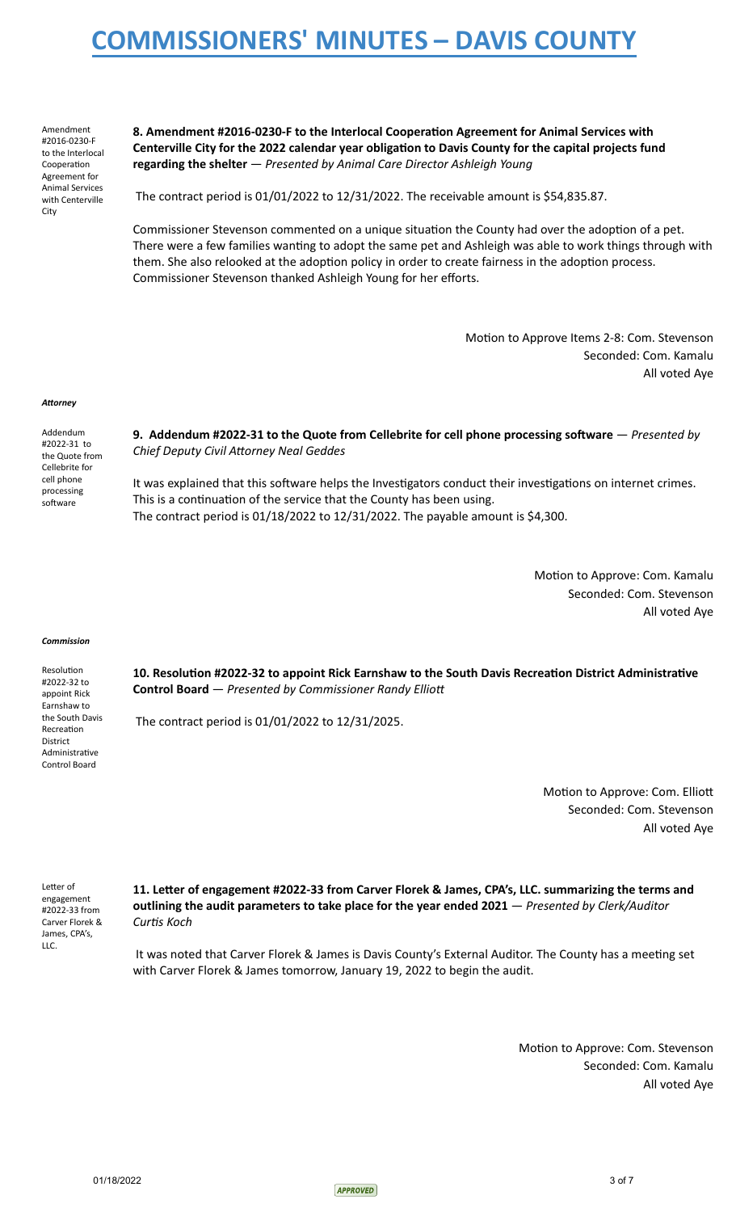Amendment #2016-0230-F to the Interlocal Cooperation Agreement for Animal Services with Centerville City

8. Amendment #2016-0230-F to the Interlocal Cooperation Agreement for Animal Services with **Centerville City for the 2022 calendar year obligation to Davis County for the capital projects fund regarding the shelter** — *Presented by Animal Care Director Ashleigh Young*

The contract period is 01/01/2022 to 12/31/2022. The receivable amount is \$54,835.87.

Commissioner Stevenson commented on a unique situation the County had over the adoption of a pet. There were a few families wanting to adopt the same pet and Ashleigh was able to work things through with them. She also relooked at the adoption policy in order to create fairness in the adoption process. Commissioner Stevenson thanked Ashleigh Young for her efforts.

> Motion to Approve Items 2-8: Com. Stevenson Seconded: Com. Kamalu All voted Aye

### Attorney

 Addendum #2022-31 to the Quote from Cellebrite for cell phone processing software

**9. Addendum #2022-31 to the Quote from Cellebrite for cell phone processing software**  $-$  *Presented by* **Chief Deputy Civil Attorney Neal Geddes** 

It was explained that this software helps the Investigators conduct their investigations on internet crimes. This is a continuation of the service that the County has been using. The contract period is 01/18/2022 to 12/31/2022. The payable amount is \$4,300.

> Motion to Approve: Com. Kamalu Seconded: Com. Stevenson All voted Aye

#### *Commission*

Resolution #2022-32 to appoint Rick Earnshaw to the South Davis Recreation District Administrative Control Board

10. Resolution #2022-32 to appoint Rick Earnshaw to the South Davis Recreation District Administrative  **Control Board** — *Presented by Commissioner Randy Ellio*

The contract period is 01/01/2022 to 12/31/2025.

Motion to Approve: Com. Elliott Seconded: Com. Stevenson All voted Aye

Letter of engagement #2022-33 from Carver Florek & James, CPA's, LLC.

11. Letter of engagement #2022-33 from Carver Florek & James, CPA's, LLC. summarizing the terms and  **outlining the audit parameters to take place for the year ended 2021** — *Presented by Clerk/Auditor Curtis Koch* 

It was noted that Carver Florek & James is Davis County's External Auditor. The County has a meeting set with Carver Florek & James tomorrow, January 19, 2022 to begin the audit.

> Motion to Approve: Com. Stevenson Seconded: Com. Kamalu All voted Aye

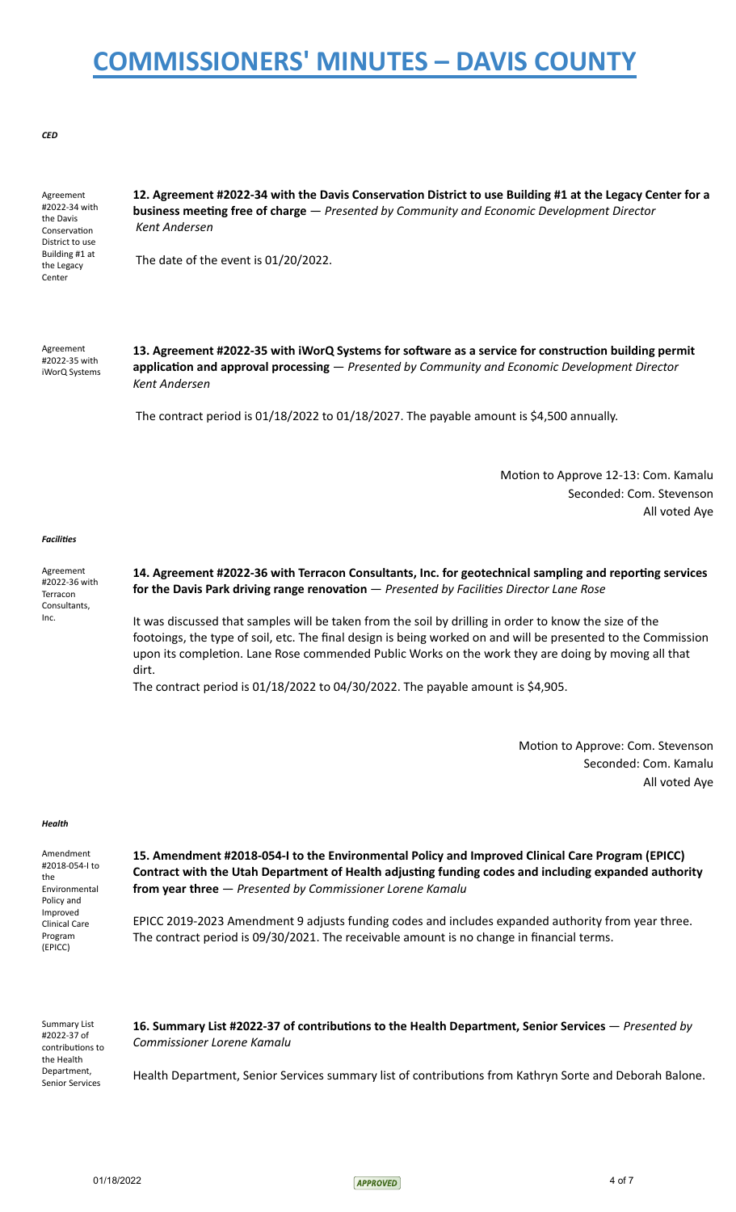### *CED*

 Agreement #2022-34 with the Davis Conservation District to use Building #1 at the Legacy Center

12. Agreement #2022-34 with the Davis Conservation District to use Building #1 at the Legacy Center for a **business meeting free of charge**  $-$  *Presented by Community and Economic Development Director Kent Andersen*

The date of the event is 01/20/2022.

 Agreement #2022-35 with iWorQ Systems 13. Agreement #2022-35 with iWorQ Systems for software as a service for construction building permit application and approval processing — Presented by Community and Economic Development Director  *Kent Andersen*

The contract period is 01/18/2022 to 01/18/2027. The payable amount is \$4,500 annually.

Motion to Approve 12-13: Com. Kamalu Seconded: Com. Stevenson All voted Aye

### *Facilies*

 Agreement #2022-36 with Terracon Consultants, Inc.

### 14. Agreement #2022-36 with Terracon Consultants, Inc. for geotechnical sampling and reporting services for the Davis Park driving range renovation — Presented by Facilities Director Lane Rose

 It was discussed that samples will be taken from the soil by drilling in order to know the size of the footoings, the type of soil, etc. The final design is being worked on and will be presented to the Commission upon its completion. Lane Rose commended Public Works on the work they are doing by moving all that dirt.

The contract period is  $01/18/2022$  to  $04/30/2022$ . The payable amount is \$4,905.

Motion to Approve: Com. Stevenson Seconded: Com. Kamalu All voted Aye

#### *Health*

 Amendment #2018-054-I to the Environmental Policy and Improved Clinical Care Program (EPICC)  **15. Amendment #2018-054-I to the Environmental Policy and Improved Clinical Care Program (EPICC) Contract with the Utah Department of Health adjusting funding codes and including expanded authority from year three** — *Presented by Commissioner Lorene Kamalu* EPICC 2019-2023 Amendment 9 adjusts funding codes and includes expanded authority from year three. The contract period is 09/30/2021. The receivable amount is no change in financial terms.

 Summary List #2022-37 of contributions to the Health Department, Senior Services

16. Summary List #2022-37 of contributions to the Health Department, Senior Services — *Presented by Commissioner Lorene Kamalu*

Health Department, Senior Services summary list of contributions from Kathryn Sorte and Deborah Balone.

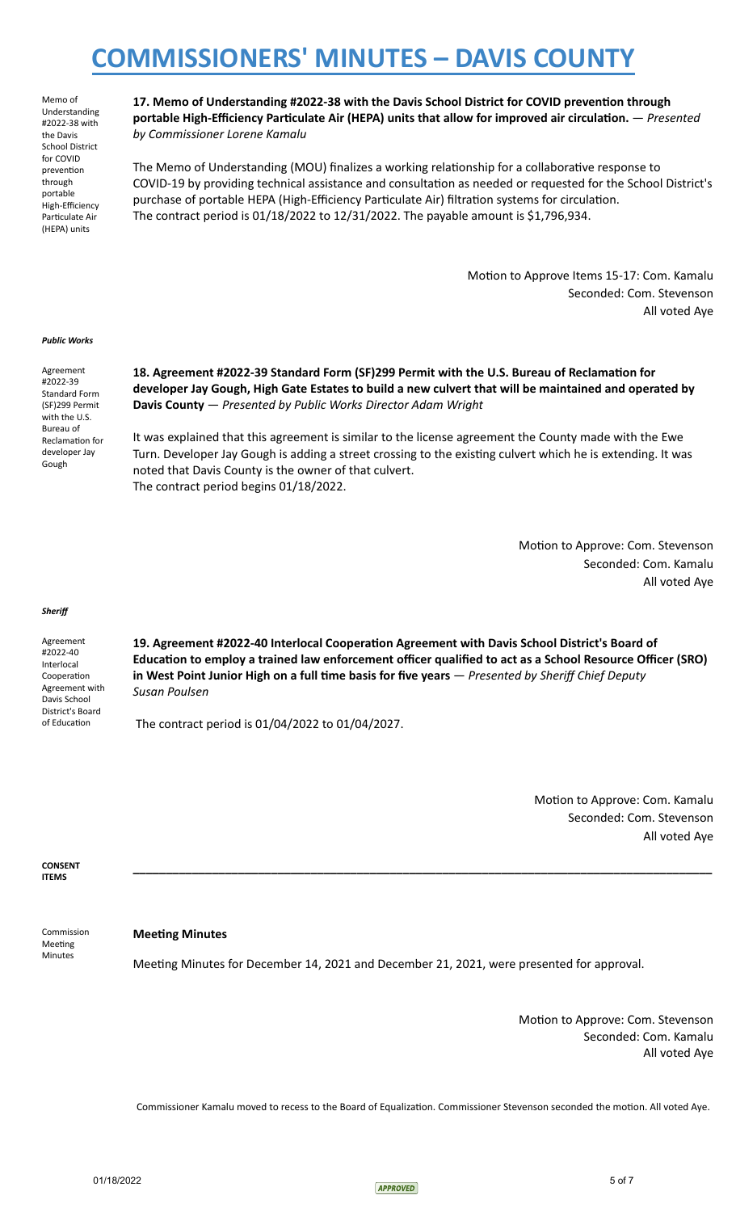Memo of Understanding #2022-38 with the Davis School District for COVID prevention through portable High-Efficiency Particulate Air (HEPA) units

17. Memo of Understanding #2022-38 with the Davis School District for COVID prevention through  **portable High-Efficiency Particulate Air (HEPA) units that allow for improved air circulation.** — *Presented by Commissioner Lorene Kamalu*

The Memo of Understanding (MOU) finalizes a working relationship for a collaborative response to COVID-19 by providing technical assistance and consultation as needed or requested for the School District's purchase of portable HEPA (High-Efficiency Particulate Air) filtration systems for circulation. The contract period is 01/18/2022 to 12/31/2022. The payable amount is \$1,796,934.

> Motion to Approve Items 15-17: Com. Kamalu Seconded: Com. Stevenson All voted Aye

### *Public Works*

 Agreement #2022-39 Standard Form (SF)299 Permit with the U.S. Bureau of Reclamation for developer Jay Gough

18. Agreement #2022-39 Standard Form (SF)299 Permit with the U.S. Bureau of Reclamation for  **developer Jay Gough, High Gate Estates to build a new culvert that will be maintained and operated by Davis County** — *Presented by Public Works Director Adam Wright*

 It was explained that this agreement is similar to the license agreement the County made with the Ewe Turn. Developer Jay Gough is adding a street crossing to the existing culvert which he is extending. It was noted that Davis County is the owner of that culvert. The contract period begins 01/18/2022.

> Motion to Approve: Com. Stevenson Seconded: Com. Kamalu All voted Aye

#### *Sheriff*

 Agreement #2022-40 Interlocal Cooperation Agreement with Davis School District's Board of Education

19. Agreement #2022-40 Interlocal Cooperation Agreement with Davis School District's Board of **Education to employ a trained law enforcement officer qualified to act as a School Resource Officer (SRO)** in West Point Junior High on a full time basis for five years  $-$  *Presented by Sheriff Chief Deputy Susan Poulsen*

**\_\_\_\_\_\_\_\_\_\_\_\_\_\_\_\_\_\_\_\_\_\_\_\_\_\_\_\_\_\_\_\_\_\_\_\_\_\_\_\_\_\_\_\_\_\_\_\_\_\_\_\_\_\_\_\_\_\_\_\_\_\_\_\_\_\_\_\_\_\_\_\_\_\_\_\_\_\_\_\_\_\_\_\_\_\_\_\_** 

The contract period is 01/04/2022 to 01/04/2027.

Motion to Approve: Com. Kamalu Seconded: Com. Stevenson All voted Aye

 **CONSENT ITEMS** 

**Meeting Minutes** 

Meeting Minutes

Commission

Meeting Minutes for December 14, 2021 and December 21, 2021, were presented for approval.

Motion to Approve: Com. Stevenson Seconded: Com. Kamalu All voted Aye

Commissioner Kamalu moved to recess to the Board of Equalization. Commissioner Stevenson seconded the motion. All voted Aye.

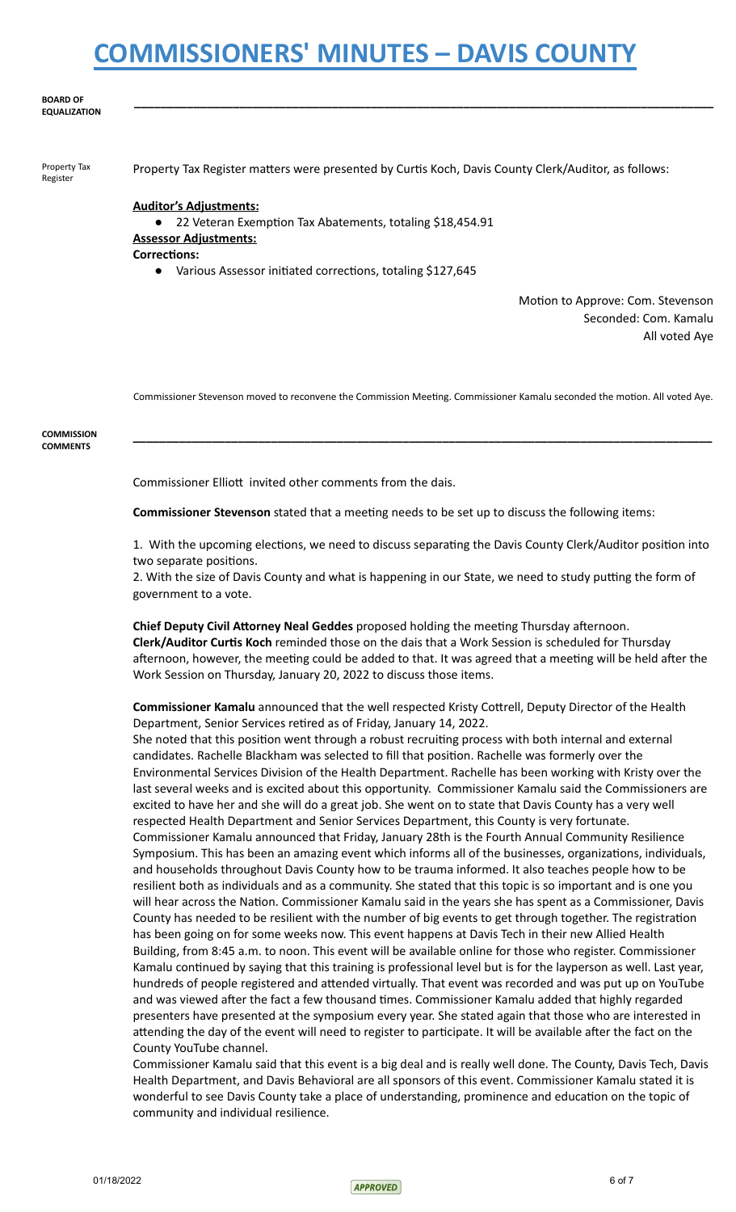#### **BOARD OF EQUALIZATION**

 Property Tax Register

Property Tax Register matters were presented by Curtis Koch, Davis County Clerk/Auditor, as follows:

**\_\_\_\_\_\_\_\_\_\_\_\_\_\_\_\_\_\_\_\_\_\_\_\_\_\_\_\_\_\_\_\_\_\_\_\_\_\_\_\_\_\_\_\_\_\_\_\_\_\_\_\_\_\_\_\_\_\_\_\_\_\_\_\_\_\_\_\_\_\_\_\_\_\_\_\_\_\_\_\_\_\_\_\_\_\_\_\_** 

### **Auditor's Adjustments:**

● 22 Veteran Exemption Tax Abatements, totaling \$18,454.91  **Assessor Adjustments:** 

**Corrections:** 

Various Assessor initiated corrections, totaling \$127,645

Motion to Approve: Com. Stevenson Seconded: Com. Kamalu All voted Aye

Commissioner Stevenson moved to reconvene the Commission Meeting. Commissioner Kamalu seconded the motion. All voted Aye.

**\_\_\_\_\_\_\_\_\_\_\_\_\_\_\_\_\_\_\_\_\_\_\_\_\_\_\_\_\_\_\_\_\_\_\_\_\_\_\_\_\_\_\_\_\_\_\_\_\_\_\_\_\_\_\_\_\_\_\_\_\_\_\_\_\_\_\_\_\_\_\_\_\_\_\_\_\_\_\_\_\_\_\_\_\_\_\_\_** 

 **COMMISSION COMMENTS** 

Commissioner Elliott invited other comments from the dais.

**Commissioner Stevenson** stated that a meeting needs to be set up to discuss the following items:

1. With the upcoming elections, we need to discuss separating the Davis County Clerk/Auditor position into two separate positions.

2. With the size of Davis County and what is happening in our State, we need to study putting the form of government to a vote.

**Chief Deputy Civil Attorney Neal Geddes** proposed holding the meeting Thursday afternoon.  **Clerk/Auditor Curs Koch** reminded those on the dais that a Work Session is scheduled for Thursday afternoon, however, the meeting could be added to that. It was agreed that a meeting will be held after the Work Session on Thursday, January 20, 2022 to discuss those items.

**Commissioner Kamalu** announced that the well respected Kristy Cottrell, Deputy Director of the Health Department, Senior Services retired as of Friday, January 14, 2022.

She noted that this position went through a robust recruiting process with both internal and external candidates. Rachelle Blackham was selected to fill that position. Rachelle was formerly over the Environmental Services Division of the Health Department. Rachelle has been working with Kristy over the last several weeks and is excited about this opportunity. Commissioner Kamalu said the Commissioners are excited to have her and she will do a great job. She went on to state that Davis County has a very well respected Health Department and Senior Services Department, this County is very fortunate. Commissioner Kamalu announced that Friday, January 28th is the Fourth Annual Community Resilience Symposium. This has been an amazing event which informs all of the businesses, organizations, individuals, and households throughout Davis County how to be trauma informed. It also teaches people how to be resilient both as individuals and as a community. She stated that this topic is so important and is one you will hear across the Nation. Commissioner Kamalu said in the years she has spent as a Commissioner, Davis County has needed to be resilient with the number of big events to get through together. The registration has been going on for some weeks now. This event happens at Davis Tech in their new Allied Health Building, from 8:45 a.m. to noon. This event will be available online for those who register. Commissioner Kamalu continued by saying that this training is professional level but is for the layperson as well. Last year, hundreds of people registered and attended virtually. That event was recorded and was put up on YouTube and was viewed after the fact a few thousand times. Commissioner Kamalu added that highly regarded presenters have presented at the symposium every year. She stated again that those who are interested in attending the day of the event will need to register to participate. It will be available after the fact on the County YouTube channel.

 Commissioner Kamalu said that this event is a big deal and is really well done. The County, Davis Tech, Davis Health Department, and Davis Behavioral are all sponsors of this event. Commissioner Kamalu stated it is wonderful to see Davis County take a place of understanding, prominence and education on the topic of community and individual resilience.